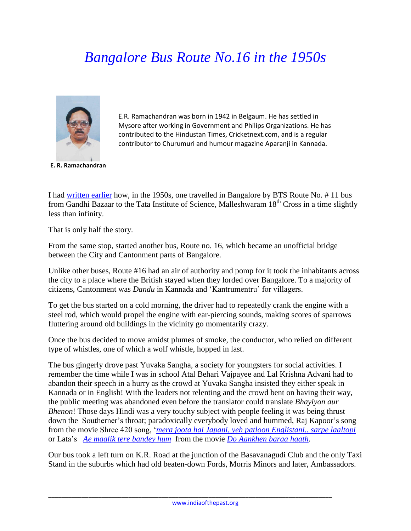## *Bangalore Bus Route No.16 in the 1950s*



E.R. Ramachandran was born in 1942 in Belgaum. He has settled in Mysore after working in Government and Philips Organizations. He has contributed to the Hindustan Times, Cricketnext.com, and is a regular contributor to Churumuri and humour magazine Aparanji in Kannada.

**E. R. Ramachandran**

I had [written](http://www.indiaofthepast.org/contribute-memories/read-contributions/life-back-then/308-bangalore-bus-route-no11-in-the-1950s) earlier how, in the 1950s, one travelled in Bangalore by BTS Route No. # 11 bus from Gandhi Bazaar to the Tata Institute of Science, Malleshwaram 18<sup>th</sup> Cross in a time slightly less than infinity.

That is only half the story.

From the same stop, started another bus, Route no. 16, which became an unofficial bridge between the City and Cantonment parts of Bangalore.

Unlike other buses, Route #16 had an air of authority and pomp for it took the inhabitants across the city to a place where the British stayed when they lorded over Bangalore. To a majority of citizens, Cantonment was *Dandu* in Kannada and 'Kantrumentru' for villagers.

To get the bus started on a cold morning, the driver had to repeatedly crank the engine with a steel rod, which would propel the engine with ear-piercing sounds, making scores of sparrows fluttering around old buildings in the vicinity go momentarily crazy.

Once the bus decided to move amidst plumes of smoke, the conductor, who relied on different type of whistles, one of which a wolf whistle, hopped in last.

The bus gingerly drove past Yuvaka Sangha, a society for youngsters for social activities. I remember the time while I was in school Atal Behari Vajpayee and Lal Krishna Advani had to abandon their speech in a hurry as the crowd at Yuvaka Sangha insisted they either speak in Kannada or in English! With the leaders not relenting and the crowd bent on having their way, the public meeting was abandoned even before the translator could translate *Bhayiyon aur Bhenon*! Those days Hindi was a very touchy subject with people feeling it was being thrust down the Southerner's throat; paradoxically everybody loved and hummed, Raj Kapoor's song from the movie Shree 420 song, '*[mera joota hai Japani, yeh patloon Englistani.. sarpe laaltopi](http://www.youtube.com/watch?hl=en&v=5wjGc1zGWBc)* or Lata's *Ae [maalik tere bandey hum](http://www.youtube.com/watch?v=4lndAYNGKTY)* from the movie *[Do Aankhen baraa haath.](http://www.youtube.com/watch?v=v8wnCx8n_X0&list=PL36C823C66679AD0E&index=1)*

Our bus took a left turn on K.R. Road at the junction of the Basavanagudi Club and the only Taxi Stand in the suburbs which had old beaten-down Fords, Morris Minors and later, Ambassadors.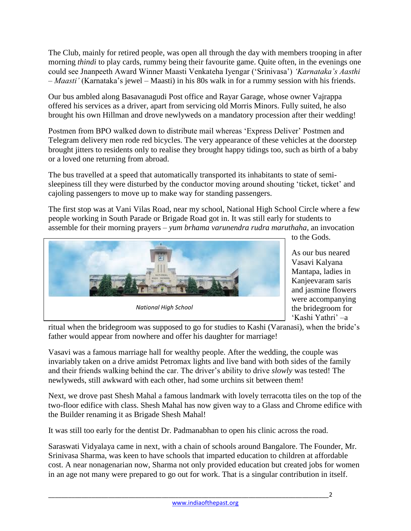The Club, mainly for retired people, was open all through the day with members trooping in after morning *thindi* to play cards, rummy being their favourite game. Quite often, in the evenings one could see Jnanpeeth Award Winner Maasti Venkateha Iyengar ('Srinivasa') *'Karnataka's Aasthi – Maasti'* (Karnataka's jewel – Maasti) in his 80s walk in for a rummy session with his friends.

Our bus ambled along Basavanagudi Post office and Rayar Garage, whose owner Vajrappa offered his services as a driver, apart from servicing old Morris Minors. Fully suited, he also brought his own Hillman and drove newlyweds on a mandatory procession after their wedding!

Postmen from BPO walked down to distribute mail whereas 'Express Deliver' Postmen and Telegram delivery men rode red bicycles. The very appearance of these vehicles at the doorstep brought jitters to residents only to realise they brought happy tidings too, such as birth of a baby or a loved one returning from abroad.

The bus travelled at a speed that automatically transported its inhabitants to state of semisleepiness till they were disturbed by the conductor moving around shouting 'ticket, ticket' and cajoling passengers to move up to make way for standing passengers.

The first stop was at Vani Vilas Road, near my school, National High School Circle where a few people working in South Parade or Brigade Road got in. It was still early for students to assemble for their morning prayers – *yum brhama varunendra rudra maruthaha*, an invocation



to the Gods.

As our bus neared Vasavi Kalyana Mantapa, ladies in Kanjeevaram saris and jasmine flowers were accompanying the bridegroom for 'Kashi Yathri' –a

ritual when the bridegroom was supposed to go for studies to Kashi (Varanasi), when the bride's father would appear from nowhere and offer his daughter for marriage!

Vasavi was a famous marriage hall for wealthy people. After the wedding, the couple was invariably taken on a drive amidst Petromax lights and live band with both sides of the family and their friends walking behind the car. The driver's ability to drive *slowly* was tested! The newlyweds, still awkward with each other, had some urchins sit between them!

Next, we drove past Shesh Mahal a famous landmark with lovely terracotta tiles on the top of the two-floor edifice with class. Shesh Mahal has now given way to a Glass and Chrome edifice with the Builder renaming it as Brigade Shesh Mahal!

It was still too early for the dentist Dr. Padmanabhan to open his clinic across the road.

Saraswati Vidyalaya came in next, with a chain of schools around Bangalore. The Founder, Mr. Srinivasa Sharma, was keen to have schools that imparted education to children at affordable cost. A near nonagenarian now, Sharma not only provided education but created jobs for women in an age not many were prepared to go out for work. That is a singular contribution in itself.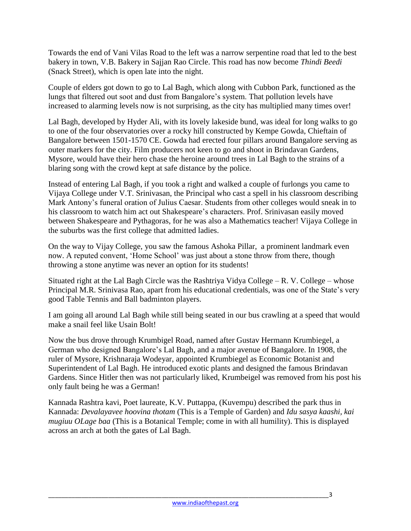Towards the end of Vani Vilas Road to the left was a narrow serpentine road that led to the best bakery in town, V.B. Bakery in Sajjan Rao Circle. This road has now become *Thindi Beedi* (Snack Street), which is open late into the night.

Couple of elders got down to go to Lal Bagh, which along with Cubbon Park, functioned as the lungs that filtered out soot and dust from Bangalore's system. That pollution levels have increased to alarming levels now is not surprising, as the city has multiplied many times over!

Lal Bagh, developed by Hyder Ali, with its lovely lakeside bund, was ideal for long walks to go to one of the four observatories over a rocky hill constructed by Kempe Gowda, Chieftain of Bangalore between 1501-1570 CE. Gowda had erected four pillars around Bangalore serving as outer markers for the city. Film producers not keen to go and shoot in Brindavan Gardens, Mysore, would have their hero chase the heroine around trees in Lal Bagh to the strains of a blaring song with the crowd kept at safe distance by the police.

Instead of entering Lal Bagh, if you took a right and walked a couple of furlongs you came to Vijaya College under V.T. Srinivasan, the Principal who cast a spell in his classroom describing Mark Antony's funeral oration of Julius Caesar. Students from other colleges would sneak in to his classroom to watch him act out Shakespeare's characters. Prof. Srinivasan easily moved between Shakespeare and Pythagoras, for he was also a Mathematics teacher! Vijaya College in the suburbs was the first college that admitted ladies.

On the way to Vijay College, you saw the famous Ashoka Pillar, a prominent landmark even now. A reputed convent, 'Home School' was just about a stone throw from there, though throwing a stone anytime was never an option for its students!

Situated right at the Lal Bagh Circle was the Rashtriya Vidya College – R. V. College – whose Principal M.R. Srinivasa Rao, apart from his educational credentials, was one of the State's very good Table Tennis and Ball badminton players.

I am going all around Lal Bagh while still being seated in our bus crawling at a speed that would make a snail feel like Usain Bolt!

Now the bus drove through Krumbigel Road, named after Gustav Hermann Krumbiegel, a German who designed Bangalore's Lal Bagh, and a major avenue of Bangalore. In 1908, the ruler of Mysore, Krishnaraja Wodeyar, appointed Krumbiegel as Economic Botanist and Superintendent of Lal Bagh. He introduced exotic plants and designed the famous Brindavan Gardens. Since Hitler then was not particularly liked, Krumbeigel was removed from his post his only fault being he was a German!

Kannada Rashtra kavi, Poet laureate, K.V. Puttappa, (Kuvempu) described the park thus in Kannada: *Devalayavee hoovina thotam* (This is a Temple of Garden) and *Idu sasya kaashi, kai mugiuu OLage baa* (This is a Botanical Temple; come in with all humility). This is displayed across an arch at both the gates of Lal Bagh.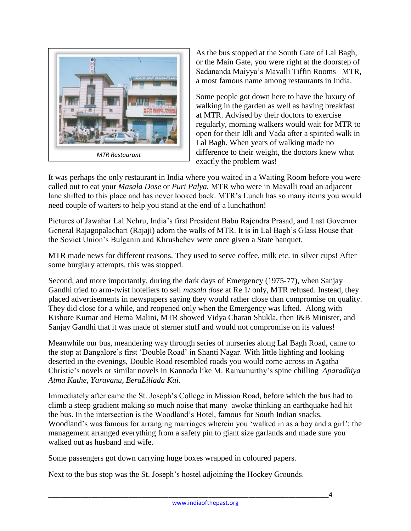

As the bus stopped at the South Gate of Lal Bagh, or the Main Gate, you were right at the doorstep of Sadananda Maiyya's Mavalli Tiffin Rooms –MTR, a most famous name among restaurants in India.

Some people got down here to have the luxury of walking in the garden as well as having breakfast at MTR. Advised by their doctors to exercise regularly, morning walkers would wait for MTR to open for their Idli and Vada after a spirited walk in Lal Bagh. When years of walking made no difference to their weight, the doctors knew what exactly the problem was!

It was perhaps the only restaurant in India where you waited in a Waiting Room before you were called out to eat your *Masala Dose* or *Puri Palya.* MTR who were in Mavalli road an adjacent lane shifted to this place and has never looked back. MTR's Lunch has so many items you would need couple of waiters to help you stand at the end of a lunchathon!

Pictures of Jawahar Lal Nehru, India's first President Babu Rajendra Prasad, and Last Governor General Rajagopalachari (Rajaji) adorn the walls of MTR. It is in Lal Bagh's Glass House that the Soviet Union's Bulganin and Khrushchev were once given a State banquet.

MTR made news for different reasons. They used to serve coffee, milk etc. in silver cups! After some burglary attempts, this was stopped.

Second, and more importantly, during the dark days of Emergency (1975-77), when Sanjay Gandhi tried to arm-twist hoteliers to sell *masala dose* at Re 1/ only, MTR refused. Instead, they placed advertisements in newspapers saying they would rather close than compromise on quality. They did close for a while, and reopened only when the Emergency was lifted. Along with Kishore Kumar and Hema Malini, MTR showed Vidya Charan Shukla, then I&B Minister, and Sanjay Gandhi that it was made of sterner stuff and would not compromise on its values!

Meanwhile our bus, meandering way through series of nurseries along Lal Bagh Road, came to the stop at Bangalore's first 'Double Road' in Shanti Nagar. With little lighting and looking deserted in the evenings, Double Road resembled roads you would come across in Agatha Christie's novels or similar novels in Kannada like M. Ramamurthy's spine chilling *Aparadhiya Atma Kathe, Yaravanu, BeraLillada Kai.*

Immediately after came the St. Joseph's College in Mission Road, before which the bus had to climb a steep gradient making so much noise that many awoke thinking an earthquake had hit the bus. In the intersection is the Woodland's Hotel, famous for South Indian snacks. Woodland's was famous for arranging marriages wherein you 'walked in as a boy and a girl'; the management arranged everything from a safety pin to giant size garlands and made sure you walked out as husband and wife.

Some passengers got down carrying huge boxes wrapped in coloured papers.

Next to the bus stop was the St. Joseph's hostel adjoining the Hockey Grounds.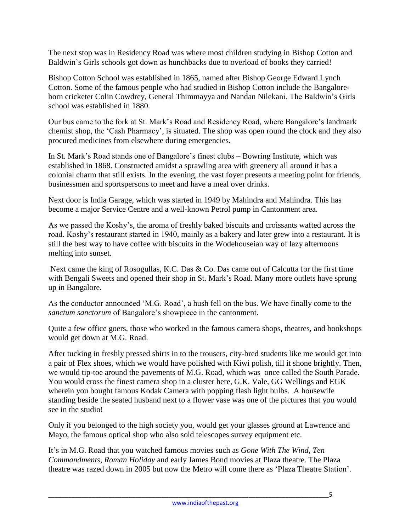The next stop was in Residency Road was where most children studying in Bishop Cotton and Baldwin's Girls schools got down as hunchbacks due to overload of books they carried!

Bishop Cotton School was established in 1865, named after Bishop George Edward Lynch Cotton. Some of the famous people who had studied in Bishop Cotton include the Bangaloreborn cricketer Colin Cowdrey, General Thimmayya and Nandan Nilekani. The Baldwin's Girls school was established in 1880.

Our bus came to the fork at St. Mark's Road and Residency Road, where Bangalore's landmark chemist shop, the 'Cash Pharmacy', is situated. The shop was open round the clock and they also procured medicines from elsewhere during emergencies.

In St. Mark's Road stands one of Bangalore's finest clubs – Bowring Institute, which was established in 1868. Constructed amidst a sprawling area with greenery all around it has a colonial charm that still exists. In the evening, the vast foyer presents a meeting point for friends, businessmen and sportspersons to meet and have a meal over drinks.

Next door is India Garage, which was started in 1949 by Mahindra and Mahindra. This has become a major Service Centre and a well-known Petrol pump in Cantonment area.

As we passed the Koshy's, the aroma of freshly baked biscuits and croissants wafted across the road. Koshy's restaurant started in 1940, mainly as a bakery and later grew into a restaurant. It is still the best way to have coffee with biscuits in the Wodehouseian way of lazy afternoons melting into sunset.

Next came the king of Rosogullas, K.C. Das & Co. Das came out of Calcutta for the first time with Bengali Sweets and opened their shop in St. Mark's Road. Many more outlets have sprung up in Bangalore.

As the conductor announced 'M.G. Road', a hush fell on the bus. We have finally come to the *sanctum sanctorum* of Bangalore's showpiece in the cantonment.

Quite a few office goers, those who worked in the famous camera shops, theatres, and bookshops would get down at M.G. Road.

After tucking in freshly pressed shirts in to the trousers, city-bred students like me would get into a pair of Flex shoes, which we would have polished with Kiwi polish, till it shone brightly. Then, we would tip-toe around the pavements of M.G. Road, which was once called the South Parade. You would cross the finest camera shop in a cluster here, G.K. Vale, GG Wellings and EGK wherein you bought famous Kodak Camera with popping flash light bulbs. A housewife standing beside the seated husband next to a flower vase was one of the pictures that you would see in the studio!

Only if you belonged to the high society you, would get your glasses ground at Lawrence and Mayo, the famous optical shop who also sold telescopes survey equipment etc.

It's in M.G. Road that you watched famous movies such as *Gone With The Wind, Ten Commandments*, *Roman Holiday* and early James Bond movies at Plaza theatre. The Plaza theatre was razed down in 2005 but now the Metro will come there as 'Plaza Theatre Station'.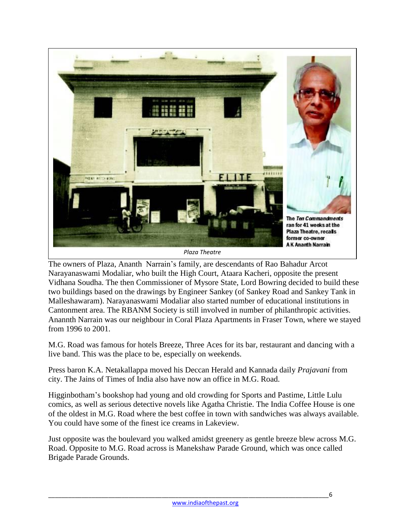

The owners of Plaza, Ananth Narrain's family, are descendants of Rao Bahadur Arcot Narayanaswami Modaliar, who built the High Court, Ataara Kacheri, opposite the present Vidhana Soudha. The then Commissioner of Mysore State, Lord Bowring decided to build these two buildings based on the drawings by Engineer Sankey (of Sankey Road and Sankey Tank in Malleshawaram). Narayanaswami Modaliar also started number of educational institutions in Cantonment area. The RBANM Society is still involved in number of philanthropic activities. Anannth Narrain was our neighbour in Coral Plaza Apartments in Fraser Town, where we stayed from 1996 to 2001.

M.G. Road was famous for hotels Breeze, Three Aces for its bar, restaurant and dancing with a live band. This was the place to be, especially on weekends.

Press baron K.A. Netakallappa moved his Deccan Herald and Kannada daily *Prajavani* from city. The Jains of Times of India also have now an office in M.G. Road.

Higginbotham's bookshop had young and old crowding for Sports and Pastime, Little Lulu comics, as well as serious detective novels like Agatha Christie. The India Coffee House is one of the oldest in M.G. Road where the best coffee in town with sandwiches was always available. You could have some of the finest ice creams in Lakeview.

Just opposite was the boulevard you walked amidst greenery as gentle breeze blew across M.G. Road. Opposite to M.G. Road across is Manekshaw Parade Ground, which was once called Brigade Parade Grounds.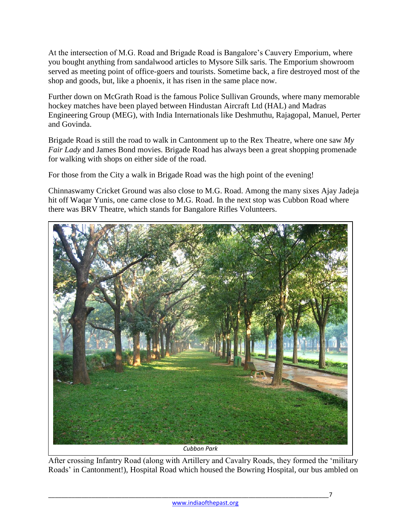At the intersection of M.G. Road and Brigade Road is Bangalore's Cauvery Emporium, where you bought anything from sandalwood articles to Mysore Silk saris. The Emporium showroom served as meeting point of office-goers and tourists. Sometime back, a fire destroyed most of the shop and goods, but, like a phoenix, it has risen in the same place now.

Further down on McGrath Road is the famous Police Sullivan Grounds, where many memorable hockey matches have been played between Hindustan Aircraft Ltd (HAL) and Madras Engineering Group (MEG), with India Internationals like Deshmuthu, Rajagopal, Manuel, Perter and Govinda.

Brigade Road is still the road to walk in Cantonment up to the Rex Theatre, where one saw *My Fair Lady* and James Bond movies. Brigade Road has always been a great shopping promenade for walking with shops on either side of the road.

For those from the City a walk in Brigade Road was the high point of the evening!

Chinnaswamy Cricket Ground was also close to M.G. Road. Among the many sixes Ajay Jadeja hit off Waqar Yunis, one came close to M.G. Road. In the next stop was Cubbon Road where there was BRV Theatre, which stands for Bangalore Rifles Volunteers.



After crossing Infantry Road (along with Artillery and Cavalry Roads, they formed the 'military Roads' in Cantonment!), Hospital Road which housed the Bowring Hospital, our bus ambled on